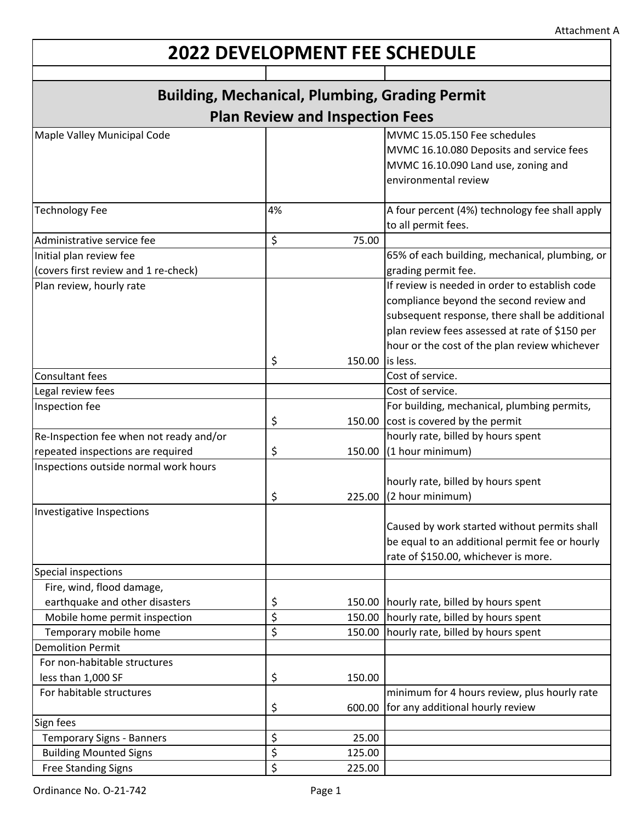## **2022 DEVELOPMENT FEE SCHEDULE**

| <b>Building, Mechanical, Plumbing, Grading Permit</b> |    |        |                                                |  |  |
|-------------------------------------------------------|----|--------|------------------------------------------------|--|--|
| <b>Plan Review and Inspection Fees</b>                |    |        |                                                |  |  |
| Maple Valley Municipal Code                           |    |        | MVMC 15.05.150 Fee schedules                   |  |  |
|                                                       |    |        | MVMC 16.10.080 Deposits and service fees       |  |  |
|                                                       |    |        | MVMC 16.10.090 Land use, zoning and            |  |  |
|                                                       |    |        | environmental review                           |  |  |
| <b>Technology Fee</b>                                 | 4% |        | A four percent (4%) technology fee shall apply |  |  |
|                                                       |    |        | to all permit fees.                            |  |  |
| Administrative service fee                            | \$ | 75.00  |                                                |  |  |
| Initial plan review fee                               |    |        | 65% of each building, mechanical, plumbing, or |  |  |
| (covers first review and 1 re-check)                  |    |        | grading permit fee.                            |  |  |
| Plan review, hourly rate                              |    |        | If review is needed in order to establish code |  |  |
|                                                       |    |        | compliance beyond the second review and        |  |  |
|                                                       |    |        | subsequent response, there shall be additional |  |  |
|                                                       |    |        | plan review fees assessed at rate of \$150 per |  |  |
|                                                       |    |        | hour or the cost of the plan review whichever  |  |  |
|                                                       | \$ | 150.00 | is less.                                       |  |  |
| <b>Consultant fees</b>                                |    |        | Cost of service.                               |  |  |
| Legal review fees                                     |    |        | Cost of service.                               |  |  |
| Inspection fee                                        |    |        | For building, mechanical, plumbing permits,    |  |  |
|                                                       | \$ | 150.00 | cost is covered by the permit                  |  |  |
| Re-Inspection fee when not ready and/or               |    |        | hourly rate, billed by hours spent             |  |  |
| repeated inspections are required                     | \$ | 150.00 | (1 hour minimum)                               |  |  |
| Inspections outside normal work hours                 |    |        |                                                |  |  |
|                                                       |    |        | hourly rate, billed by hours spent             |  |  |
|                                                       | \$ | 225.00 | (2 hour minimum)                               |  |  |
| Investigative Inspections                             |    |        |                                                |  |  |
|                                                       |    |        | Caused by work started without permits shall   |  |  |
|                                                       |    |        | be equal to an additional permit fee or hourly |  |  |
|                                                       |    |        | rate of \$150.00, whichever is more.           |  |  |
| Special inspections                                   |    |        |                                                |  |  |
| Fire, wind, flood damage,                             |    |        |                                                |  |  |
| earthquake and other disasters                        | \$ | 150.00 | hourly rate, billed by hours spent             |  |  |
| Mobile home permit inspection                         | \$ | 150.00 | hourly rate, billed by hours spent             |  |  |
| Temporary mobile home                                 | \$ | 150.00 | hourly rate, billed by hours spent             |  |  |
| <b>Demolition Permit</b>                              |    |        |                                                |  |  |
| For non-habitable structures                          |    |        |                                                |  |  |
| less than 1,000 SF                                    | \$ | 150.00 |                                                |  |  |
| For habitable structures                              |    |        | minimum for 4 hours review, plus hourly rate   |  |  |
|                                                       | \$ | 600.00 | for any additional hourly review               |  |  |
| Sign fees                                             |    |        |                                                |  |  |
| <b>Temporary Signs - Banners</b>                      | \$ | 25.00  |                                                |  |  |
| <b>Building Mounted Signs</b>                         | \$ | 125.00 |                                                |  |  |
| <b>Free Standing Signs</b>                            | \$ | 225.00 |                                                |  |  |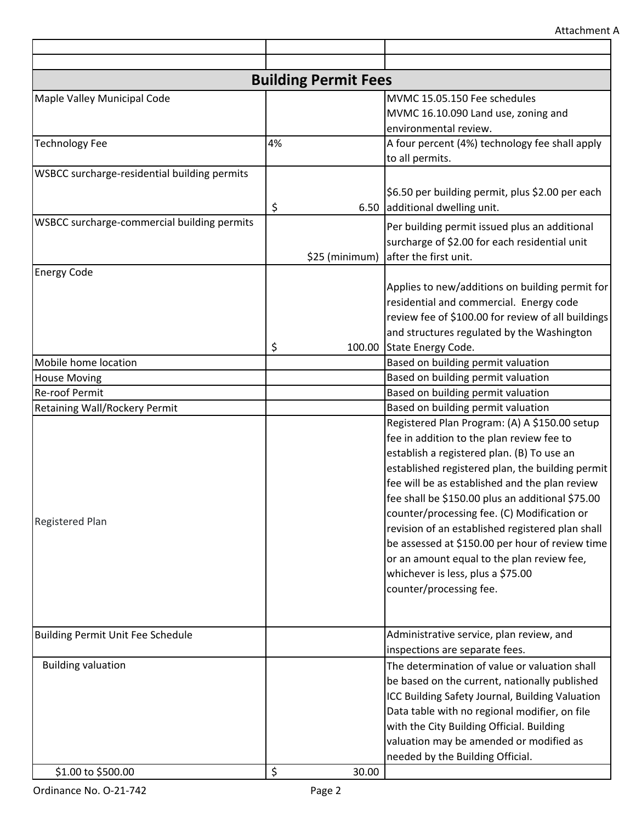| <b>Building Permit Fees</b>                  |    |                |                                                                                                                                                                                                                                                                                                                                                                                                                                                                                                                                                                        |  |  |  |
|----------------------------------------------|----|----------------|------------------------------------------------------------------------------------------------------------------------------------------------------------------------------------------------------------------------------------------------------------------------------------------------------------------------------------------------------------------------------------------------------------------------------------------------------------------------------------------------------------------------------------------------------------------------|--|--|--|
| Maple Valley Municipal Code                  |    |                | MVMC 15.05.150 Fee schedules<br>MVMC 16.10.090 Land use, zoning and<br>environmental review.                                                                                                                                                                                                                                                                                                                                                                                                                                                                           |  |  |  |
| <b>Technology Fee</b>                        | 4% |                | A four percent (4%) technology fee shall apply<br>to all permits.                                                                                                                                                                                                                                                                                                                                                                                                                                                                                                      |  |  |  |
| WSBCC surcharge-residential building permits |    |                | \$6.50 per building permit, plus \$2.00 per each<br>6.50 additional dwelling unit.                                                                                                                                                                                                                                                                                                                                                                                                                                                                                     |  |  |  |
| WSBCC surcharge-commercial building permits  | \$ | \$25 (minimum) | Per building permit issued plus an additional<br>surcharge of \$2.00 for each residential unit<br>after the first unit.                                                                                                                                                                                                                                                                                                                                                                                                                                                |  |  |  |
| <b>Energy Code</b>                           |    |                |                                                                                                                                                                                                                                                                                                                                                                                                                                                                                                                                                                        |  |  |  |
|                                              |    |                | Applies to new/additions on building permit for<br>residential and commercial. Energy code<br>review fee of \$100.00 for review of all buildings<br>and structures regulated by the Washington                                                                                                                                                                                                                                                                                                                                                                         |  |  |  |
| Mobile home location                         | \$ |                | 100.00 State Energy Code.<br>Based on building permit valuation                                                                                                                                                                                                                                                                                                                                                                                                                                                                                                        |  |  |  |
| <b>House Moving</b>                          |    |                | Based on building permit valuation                                                                                                                                                                                                                                                                                                                                                                                                                                                                                                                                     |  |  |  |
| <b>Re-roof Permit</b>                        |    |                | Based on building permit valuation                                                                                                                                                                                                                                                                                                                                                                                                                                                                                                                                     |  |  |  |
| Retaining Wall/Rockery Permit                |    |                | Based on building permit valuation                                                                                                                                                                                                                                                                                                                                                                                                                                                                                                                                     |  |  |  |
| <b>Registered Plan</b>                       |    |                | Registered Plan Program: (A) A \$150.00 setup<br>fee in addition to the plan review fee to<br>establish a registered plan. (B) To use an<br>established registered plan, the building permit<br>fee will be as established and the plan review<br>fee shall be \$150.00 plus an additional \$75.00<br>counter/processing fee. (C) Modification or<br>revision of an established registered plan shall<br>be assessed at \$150.00 per hour of review time<br>or an amount equal to the plan review fee,<br>whichever is less, plus a \$75.00<br>counter/processing fee. |  |  |  |
| <b>Building Permit Unit Fee Schedule</b>     |    |                | Administrative service, plan review, and<br>inspections are separate fees.                                                                                                                                                                                                                                                                                                                                                                                                                                                                                             |  |  |  |
| <b>Building valuation</b>                    |    |                | The determination of value or valuation shall<br>be based on the current, nationally published<br>ICC Building Safety Journal, Building Valuation<br>Data table with no regional modifier, on file<br>with the City Building Official. Building<br>valuation may be amended or modified as<br>needed by the Building Official.                                                                                                                                                                                                                                         |  |  |  |
| \$1.00 to \$500.00                           | \$ | 30.00          |                                                                                                                                                                                                                                                                                                                                                                                                                                                                                                                                                                        |  |  |  |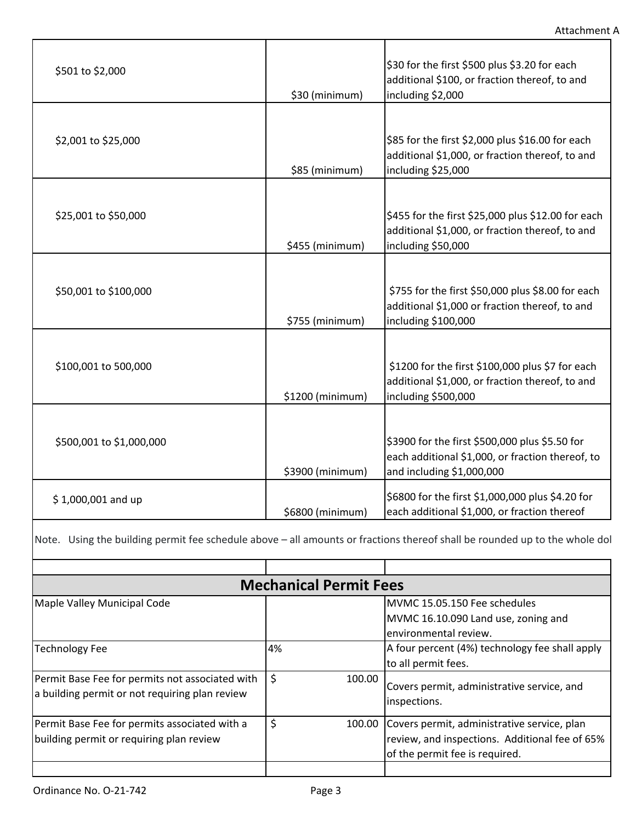| \$501 to \$2,000         | \$30 (minimum)   | \$30 for the first \$500 plus \$3.20 for each<br>additional \$100, or fraction thereof, to and<br>including \$2,000             |
|--------------------------|------------------|---------------------------------------------------------------------------------------------------------------------------------|
| \$2,001 to \$25,000      | \$85 (minimum)   | \$85 for the first \$2,000 plus \$16.00 for each<br>additional \$1,000, or fraction thereof, to and<br>including \$25,000       |
| \$25,001 to \$50,000     | \$455 (minimum)  | \$455 for the first \$25,000 plus \$12.00 for each<br>additional \$1,000, or fraction thereof, to and<br>including \$50,000     |
| \$50,001 to \$100,000    | \$755 (minimum)  | \$755 for the first \$50,000 plus \$8.00 for each<br>additional \$1,000 or fraction thereof, to and<br>including \$100,000      |
| \$100,001 to 500,000     | \$1200 (minimum) | \$1200 for the first \$100,000 plus \$7 for each<br>additional \$1,000, or fraction thereof, to and<br>including \$500,000      |
| \$500,001 to \$1,000,000 | \$3900 (minimum) | \$3900 for the first \$500,000 plus \$5.50 for<br>each additional \$1,000, or fraction thereof, to<br>and including \$1,000,000 |
| $$1,000,001$ and up      | \$6800 (minimum) | \$6800 for the first \$1,000,000 plus \$4.20 for<br>each additional \$1,000, or fraction thereof                                |

Note. Using the building permit fee schedule above – all amounts or fractions thereof shall be rounded up to the whole dol

| <b>Mechanical Permit Fees</b>                                                                     |              |                                                                                                                                 |  |  |
|---------------------------------------------------------------------------------------------------|--------------|---------------------------------------------------------------------------------------------------------------------------------|--|--|
| Maple Valley Municipal Code                                                                       |              | MVMC 15.05.150 Fee schedules<br>MVMC 16.10.090 Land use, zoning and<br>environmental review.                                    |  |  |
| <b>Technology Fee</b>                                                                             | 4%           | A four percent (4%) technology fee shall apply<br>to all permit fees.                                                           |  |  |
| Permit Base Fee for permits not associated with<br>a building permit or not requiring plan review | \$<br>100.00 | Covers permit, administrative service, and<br>inspections.                                                                      |  |  |
| Permit Base Fee for permits associated with a<br>building permit or requiring plan review         | \$<br>100.00 | Covers permit, administrative service, plan<br>review, and inspections. Additional fee of 65%<br>of the permit fee is required. |  |  |
|                                                                                                   |              |                                                                                                                                 |  |  |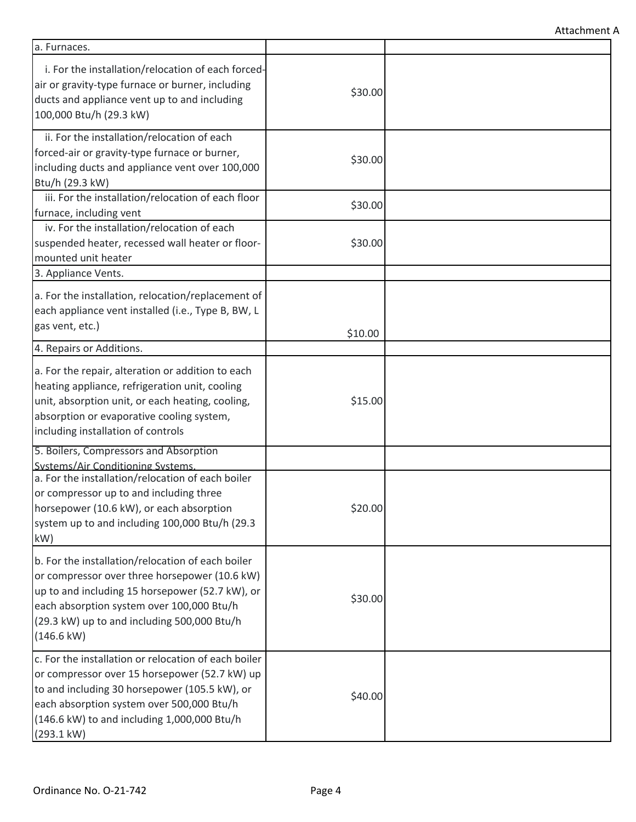| a. Furnaces.                                                                                                                                                                                                                                                               |         |  |
|----------------------------------------------------------------------------------------------------------------------------------------------------------------------------------------------------------------------------------------------------------------------------|---------|--|
| i. For the installation/relocation of each forced-<br>air or gravity-type furnace or burner, including<br>ducts and appliance vent up to and including<br>100,000 Btu/h (29.3 kW)                                                                                          | \$30.00 |  |
| ii. For the installation/relocation of each<br>forced-air or gravity-type furnace or burner,<br>including ducts and appliance vent over 100,000<br>Btu/h (29.3 kW)                                                                                                         | \$30.00 |  |
| iii. For the installation/relocation of each floor<br>furnace, including vent                                                                                                                                                                                              | \$30.00 |  |
| iv. For the installation/relocation of each<br>suspended heater, recessed wall heater or floor-<br>mounted unit heater                                                                                                                                                     | \$30.00 |  |
| 3. Appliance Vents.                                                                                                                                                                                                                                                        |         |  |
| a. For the installation, relocation/replacement of<br>each appliance vent installed (i.e., Type B, BW, L<br>gas vent, etc.)                                                                                                                                                | \$10.00 |  |
| 4. Repairs or Additions.                                                                                                                                                                                                                                                   |         |  |
| a. For the repair, alteration or addition to each<br>heating appliance, refrigeration unit, cooling<br>unit, absorption unit, or each heating, cooling,<br>absorption or evaporative cooling system,<br>including installation of controls                                 | \$15.00 |  |
| 5. Boilers, Compressors and Absorption                                                                                                                                                                                                                                     |         |  |
| Systems/Air Conditioning Systems.<br>a. For the installation/relocation of each boiler<br>or compressor up to and including three<br>horsepower (10.6 kW), or each absorption<br>system up to and including 100,000 Btu/h (29.3<br>kW)                                     | \$20.00 |  |
| b. For the installation/relocation of each boiler<br>or compressor over three horsepower (10.6 kW)<br>up to and including 15 horsepower (52.7 kW), or<br>each absorption system over 100,000 Btu/h<br>(29.3 kW) up to and including 500,000 Btu/h<br>$(146.6 \text{ kW})$  | \$30.00 |  |
| c. For the installation or relocation of each boiler<br>or compressor over 15 horsepower (52.7 kW) up<br>to and including 30 horsepower (105.5 kW), or<br>each absorption system over 500,000 Btu/h<br>(146.6 kW) to and including 1,000,000 Btu/h<br>$(293.1 \text{ kW})$ | \$40.00 |  |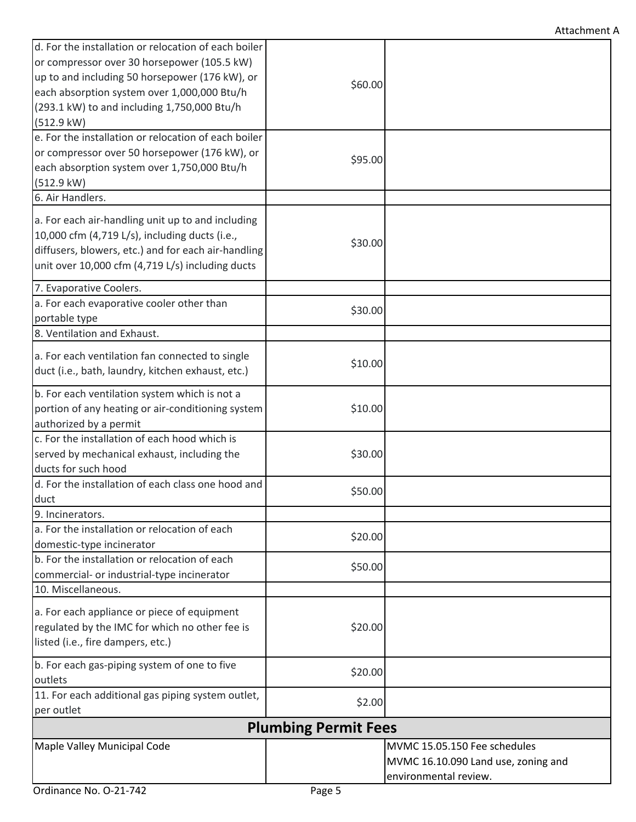|                                                                                                         |                             | MVMC 16.10.090 Land use, zoning and<br>environmental review. |
|---------------------------------------------------------------------------------------------------------|-----------------------------|--------------------------------------------------------------|
| Maple Valley Municipal Code                                                                             |                             | MVMC 15.05.150 Fee schedules                                 |
|                                                                                                         | <b>Plumbing Permit Fees</b> |                                                              |
| per outlet                                                                                              |                             |                                                              |
| 11. For each additional gas piping system outlet,                                                       | \$2.00                      |                                                              |
| outlets                                                                                                 |                             |                                                              |
| b. For each gas-piping system of one to five                                                            | \$20.00                     |                                                              |
| listed (i.e., fire dampers, etc.)                                                                       |                             |                                                              |
| regulated by the IMC for which no other fee is                                                          | \$20.00                     |                                                              |
| a. For each appliance or piece of equipment                                                             |                             |                                                              |
| 10. Miscellaneous.                                                                                      |                             |                                                              |
| commercial- or industrial-type incinerator                                                              |                             |                                                              |
| b. For the installation or relocation of each                                                           | \$50.00                     |                                                              |
| domestic-type incinerator                                                                               |                             |                                                              |
| a. For the installation or relocation of each                                                           | \$20.00                     |                                                              |
| 9. Incinerators.                                                                                        |                             |                                                              |
| duct                                                                                                    |                             |                                                              |
| d. For the installation of each class one hood and                                                      | \$50.00                     |                                                              |
| ducts for such hood                                                                                     |                             |                                                              |
| served by mechanical exhaust, including the                                                             | \$30.00                     |                                                              |
| c. For the installation of each hood which is                                                           |                             |                                                              |
| authorized by a permit                                                                                  |                             |                                                              |
| portion of any heating or air-conditioning system                                                       | \$10.00                     |                                                              |
| b. For each ventilation system which is not a                                                           |                             |                                                              |
| duct (i.e., bath, laundry, kitchen exhaust, etc.)                                                       | \$10.00                     |                                                              |
| a. For each ventilation fan connected to single                                                         |                             |                                                              |
| 8. Ventilation and Exhaust.                                                                             |                             |                                                              |
| portable type                                                                                           | \$30.00                     |                                                              |
| a. For each evaporative cooler other than                                                               |                             |                                                              |
| 7. Evaporative Coolers.                                                                                 |                             |                                                              |
| diffusers, blowers, etc.) and for each air-handling<br>unit over 10,000 cfm (4,719 L/s) including ducts |                             |                                                              |
| 10,000 cfm (4,719 L/s), including ducts (i.e.,                                                          | \$30.00                     |                                                              |
| a. For each air-handling unit up to and including                                                       |                             |                                                              |
| 6. Air Handlers.                                                                                        |                             |                                                              |
| $(512.9 \text{ kW})$                                                                                    |                             |                                                              |
| each absorption system over 1,750,000 Btu/h                                                             |                             |                                                              |
| or compressor over 50 horsepower (176 kW), or                                                           | \$95.00                     |                                                              |
| e. For the installation or relocation of each boiler                                                    |                             |                                                              |
| $(512.9 \text{ kW})$                                                                                    |                             |                                                              |
| (293.1 kW) to and including 1,750,000 Btu/h                                                             |                             |                                                              |
| each absorption system over 1,000,000 Btu/h                                                             | \$60.00                     |                                                              |
| up to and including 50 horsepower (176 kW), or                                                          |                             |                                                              |
| or compressor over 30 horsepower (105.5 kW)                                                             |                             |                                                              |
| d. For the installation or relocation of each boiler                                                    |                             |                                                              |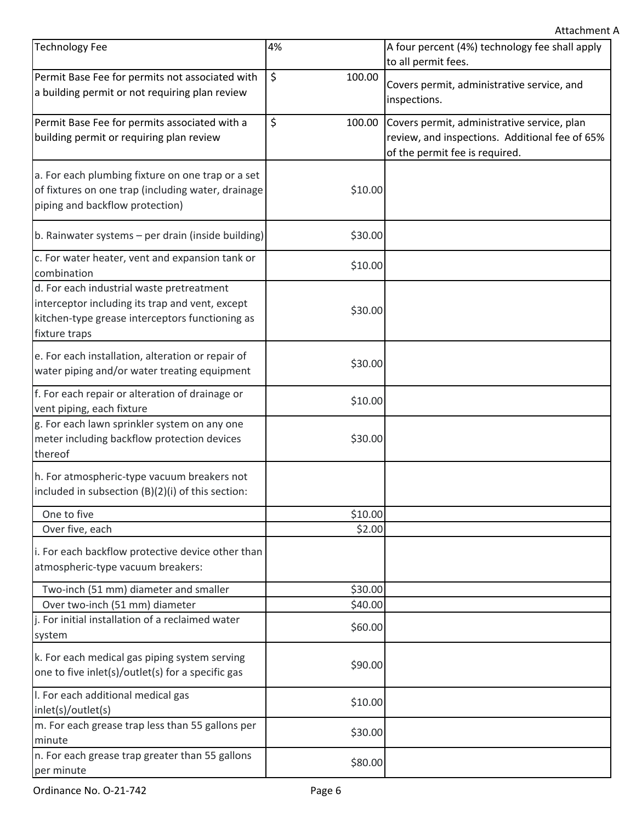| <b>Technology Fee</b>                              | 4%                             | A four percent (4%) technology fee shall apply             |
|----------------------------------------------------|--------------------------------|------------------------------------------------------------|
|                                                    |                                | to all permit fees.                                        |
| Permit Base Fee for permits not associated with    | $\boldsymbol{\zeta}$<br>100.00 |                                                            |
| a building permit or not requiring plan review     |                                | Covers permit, administrative service, and<br>inspections. |
| Permit Base Fee for permits associated with a      | \$<br>100.00                   | Covers permit, administrative service, plan                |
| building permit or requiring plan review           |                                | review, and inspections. Additional fee of 65%             |
|                                                    |                                | of the permit fee is required.                             |
| a. For each plumbing fixture on one trap or a set  |                                |                                                            |
| of fixtures on one trap (including water, drainage | \$10.00                        |                                                            |
| piping and backflow protection)                    |                                |                                                            |
|                                                    |                                |                                                            |
| b. Rainwater systems - per drain (inside building) | \$30.00                        |                                                            |
| c. For water heater, vent and expansion tank or    | \$10.00                        |                                                            |
| combination                                        |                                |                                                            |
| d. For each industrial waste pretreatment          |                                |                                                            |
| interceptor including its trap and vent, except    | \$30.00                        |                                                            |
| kitchen-type grease interceptors functioning as    |                                |                                                            |
| fixture traps                                      |                                |                                                            |
| e. For each installation, alteration or repair of  |                                |                                                            |
| water piping and/or water treating equipment       | \$30.00                        |                                                            |
| f. For each repair or alteration of drainage or    |                                |                                                            |
| vent piping, each fixture                          | \$10.00                        |                                                            |
| g. For each lawn sprinkler system on any one       |                                |                                                            |
| meter including backflow protection devices        | \$30.00                        |                                                            |
| thereof                                            |                                |                                                            |
| h. For atmospheric-type vacuum breakers not        |                                |                                                            |
| included in subsection (B)(2)(i) of this section:  |                                |                                                            |
|                                                    |                                |                                                            |
| One to five                                        | \$10.00                        |                                                            |
| Over five, each                                    | \$2.00                         |                                                            |
| i. For each backflow protective device other than  |                                |                                                            |
| atmospheric-type vacuum breakers:                  |                                |                                                            |
| Two-inch (51 mm) diameter and smaller              | \$30.00                        |                                                            |
| Over two-inch (51 mm) diameter                     | \$40.00                        |                                                            |
| j. For initial installation of a reclaimed water   |                                |                                                            |
| system                                             | \$60.00                        |                                                            |
|                                                    |                                |                                                            |
| k. For each medical gas piping system serving      | \$90.00                        |                                                            |
| one to five inlet(s)/outlet(s) for a specific gas  |                                |                                                            |
| I. For each additional medical gas                 | \$10.00                        |                                                            |
| inlet(s)/outlet(s)                                 |                                |                                                            |
| m. For each grease trap less than 55 gallons per   | \$30.00                        |                                                            |
| minute                                             |                                |                                                            |
| n. For each grease trap greater than 55 gallons    | \$80.00                        |                                                            |
| per minute                                         |                                |                                                            |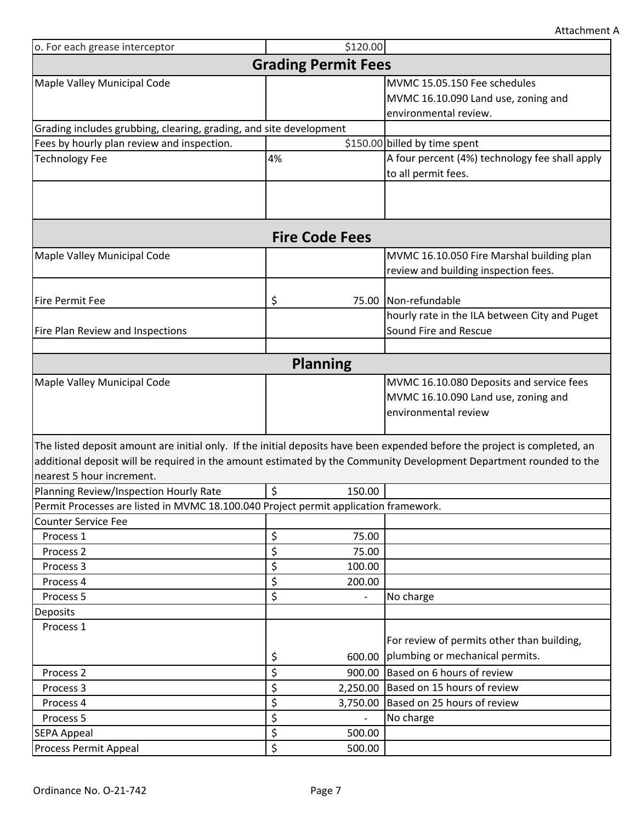| o. For each grease interceptor                                                                                                                                                                                                                   |    | \$120.00                 |                                                |  |  |
|--------------------------------------------------------------------------------------------------------------------------------------------------------------------------------------------------------------------------------------------------|----|--------------------------|------------------------------------------------|--|--|
| <b>Grading Permit Fees</b>                                                                                                                                                                                                                       |    |                          |                                                |  |  |
| Maple Valley Municipal Code                                                                                                                                                                                                                      |    |                          | MVMC 15.05.150 Fee schedules                   |  |  |
|                                                                                                                                                                                                                                                  |    |                          | MVMC 16.10.090 Land use, zoning and            |  |  |
|                                                                                                                                                                                                                                                  |    |                          | environmental review.                          |  |  |
| Grading includes grubbing, clearing, grading, and site development                                                                                                                                                                               |    |                          |                                                |  |  |
| Fees by hourly plan review and inspection.                                                                                                                                                                                                       |    |                          | \$150.00 billed by time spent                  |  |  |
| <b>Technology Fee</b>                                                                                                                                                                                                                            | 4% |                          | A four percent (4%) technology fee shall apply |  |  |
|                                                                                                                                                                                                                                                  |    |                          | to all permit fees.                            |  |  |
|                                                                                                                                                                                                                                                  |    |                          |                                                |  |  |
|                                                                                                                                                                                                                                                  |    |                          |                                                |  |  |
|                                                                                                                                                                                                                                                  |    | <b>Fire Code Fees</b>    |                                                |  |  |
| Maple Valley Municipal Code                                                                                                                                                                                                                      |    |                          | MVMC 16.10.050 Fire Marshal building plan      |  |  |
|                                                                                                                                                                                                                                                  |    |                          | review and building inspection fees.           |  |  |
|                                                                                                                                                                                                                                                  |    |                          |                                                |  |  |
| <b>Fire Permit Fee</b>                                                                                                                                                                                                                           | \$ |                          | 75.00 Non-refundable                           |  |  |
|                                                                                                                                                                                                                                                  |    |                          | hourly rate in the ILA between City and Puget  |  |  |
| Fire Plan Review and Inspections                                                                                                                                                                                                                 |    |                          | Sound Fire and Rescue                          |  |  |
|                                                                                                                                                                                                                                                  |    | <b>Planning</b>          |                                                |  |  |
| Maple Valley Municipal Code                                                                                                                                                                                                                      |    |                          | MVMC 16.10.080 Deposits and service fees       |  |  |
|                                                                                                                                                                                                                                                  |    |                          | MVMC 16.10.090 Land use, zoning and            |  |  |
|                                                                                                                                                                                                                                                  |    |                          | environmental review                           |  |  |
|                                                                                                                                                                                                                                                  |    |                          |                                                |  |  |
| The listed deposit amount are initial only. If the initial deposits have been expended before the project is completed, an<br>additional deposit will be required in the amount estimated by the Community Development Department rounded to the |    |                          |                                                |  |  |
| nearest 5 hour increment.                                                                                                                                                                                                                        |    |                          |                                                |  |  |
| Planning Review/Inspection Hourly Rate                                                                                                                                                                                                           | \$ | 150.00                   |                                                |  |  |
| Permit Processes are listed in MVMC 18.100.040 Project permit application framework.                                                                                                                                                             |    |                          |                                                |  |  |
| <b>Counter Service Fee</b>                                                                                                                                                                                                                       |    |                          |                                                |  |  |
| Process 1                                                                                                                                                                                                                                        | \$ | 75.00                    |                                                |  |  |
| Process <sub>2</sub>                                                                                                                                                                                                                             | \$ | 75.00                    |                                                |  |  |
| Process 3                                                                                                                                                                                                                                        | \$ | 100.00                   |                                                |  |  |
| Process 4                                                                                                                                                                                                                                        | \$ | 200.00                   |                                                |  |  |
| Process 5                                                                                                                                                                                                                                        | \$ | $\overline{\phantom{0}}$ | No charge                                      |  |  |
| <b>Deposits</b>                                                                                                                                                                                                                                  |    |                          |                                                |  |  |
| Process 1                                                                                                                                                                                                                                        |    |                          |                                                |  |  |
|                                                                                                                                                                                                                                                  |    |                          | For review of permits other than building,     |  |  |
|                                                                                                                                                                                                                                                  | \$ | 600.00                   | plumbing or mechanical permits.                |  |  |
| Process <sub>2</sub>                                                                                                                                                                                                                             | \$ | 900.00                   | Based on 6 hours of review                     |  |  |
| Process 3                                                                                                                                                                                                                                        | \$ | 2,250.00                 | Based on 15 hours of review                    |  |  |
| Process 4                                                                                                                                                                                                                                        | \$ | 3,750.00                 | Based on 25 hours of review                    |  |  |
| Process 5                                                                                                                                                                                                                                        | \$ |                          | No charge                                      |  |  |
| <b>SEPA Appeal</b>                                                                                                                                                                                                                               | \$ | 500.00                   |                                                |  |  |
| Process Permit Appeal                                                                                                                                                                                                                            | \$ | 500.00                   |                                                |  |  |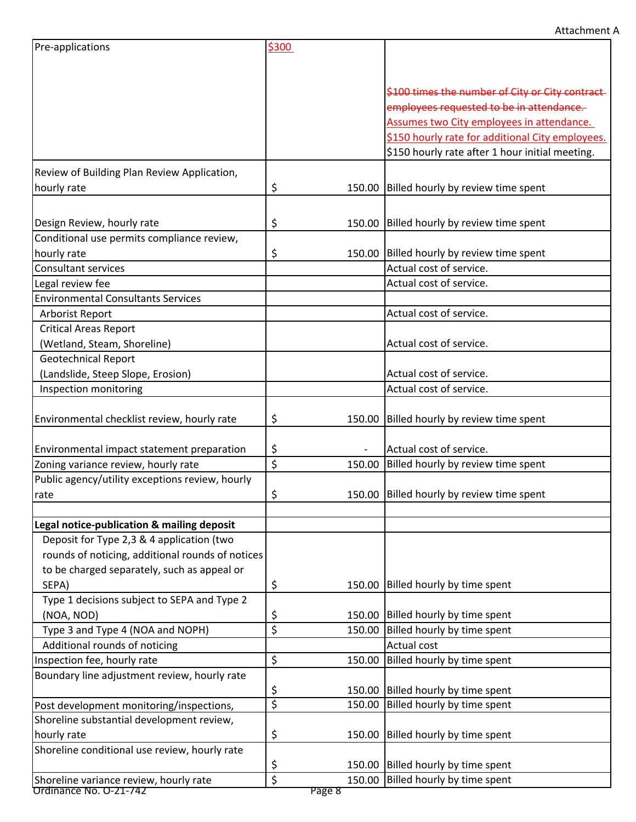## Attachment A

| Pre-applications                                          | \$300            |        |                                                  |
|-----------------------------------------------------------|------------------|--------|--------------------------------------------------|
|                                                           |                  |        |                                                  |
|                                                           |                  |        |                                                  |
|                                                           |                  |        | \$100 times the number of City or City contract  |
|                                                           |                  |        | employees requested to be in attendance.         |
|                                                           |                  |        | Assumes two City employees in attendance.        |
|                                                           |                  |        | \$150 hourly rate for additional City employees. |
|                                                           |                  |        | \$150 hourly rate after 1 hour initial meeting.  |
| Review of Building Plan Review Application,               |                  |        |                                                  |
| hourly rate                                               | \$               |        | 150.00 Billed hourly by review time spent        |
|                                                           |                  |        |                                                  |
| Design Review, hourly rate                                | \$               |        | 150.00 Billed hourly by review time spent        |
| Conditional use permits compliance review,                |                  |        |                                                  |
| hourly rate                                               | \$               |        | 150.00 Billed hourly by review time spent        |
| <b>Consultant services</b>                                |                  |        | Actual cost of service.                          |
| Legal review fee                                          |                  |        | Actual cost of service.                          |
| <b>Environmental Consultants Services</b>                 |                  |        |                                                  |
|                                                           |                  |        | Actual cost of service.                          |
| Arborist Report<br><b>Critical Areas Report</b>           |                  |        |                                                  |
|                                                           |                  |        | Actual cost of service.                          |
| (Wetland, Steam, Shoreline)<br><b>Geotechnical Report</b> |                  |        |                                                  |
|                                                           |                  |        | Actual cost of service.                          |
| (Landslide, Steep Slope, Erosion)                         |                  |        | Actual cost of service.                          |
| Inspection monitoring                                     |                  |        |                                                  |
| Environmental checklist review, hourly rate               | \$               |        | 150.00 Billed hourly by review time spent        |
|                                                           |                  |        |                                                  |
| Environmental impact statement preparation                | \$               |        | Actual cost of service.                          |
| Zoning variance review, hourly rate                       | \$               | 150.00 | Billed hourly by review time spent               |
| Public agency/utility exceptions review, hourly           |                  |        |                                                  |
| rate                                                      | \$               |        | 150.00 Billed hourly by review time spent        |
|                                                           |                  |        |                                                  |
| Legal notice-publication & mailing deposit                |                  |        |                                                  |
| Deposit for Type 2,3 & 4 application (two                 |                  |        |                                                  |
| rounds of noticing, additional rounds of notices          |                  |        |                                                  |
| to be charged separately, such as appeal or               |                  |        |                                                  |
| SEPA)                                                     | \$               |        | 150.00 Billed hourly by time spent               |
| Type 1 decisions subject to SEPA and Type 2               |                  |        |                                                  |
| (NOA, NOD)                                                | \$               | 150.00 | Billed hourly by time spent                      |
| Type 3 and Type 4 (NOA and NOPH)                          | \$               | 150.00 | Billed hourly by time spent                      |
| Additional rounds of noticing                             |                  |        | Actual cost                                      |
| Inspection fee, hourly rate                               | \$               | 150.00 | Billed hourly by time spent                      |
| Boundary line adjustment review, hourly rate              |                  |        |                                                  |
|                                                           | \$               | 150.00 | Billed hourly by time spent                      |
| Post development monitoring/inspections,                  | \$               | 150.00 | Billed hourly by time spent                      |
| Shoreline substantial development review,                 |                  |        |                                                  |
| hourly rate                                               | \$               |        | 150.00 Billed hourly by time spent               |
| Shoreline conditional use review, hourly rate             |                  |        |                                                  |
|                                                           | \$               |        | 150.00 Billed hourly by time spent               |
| Shoreline variance review, hourly rate                    | $\overline{\xi}$ | 150.00 | Billed hourly by time spent                      |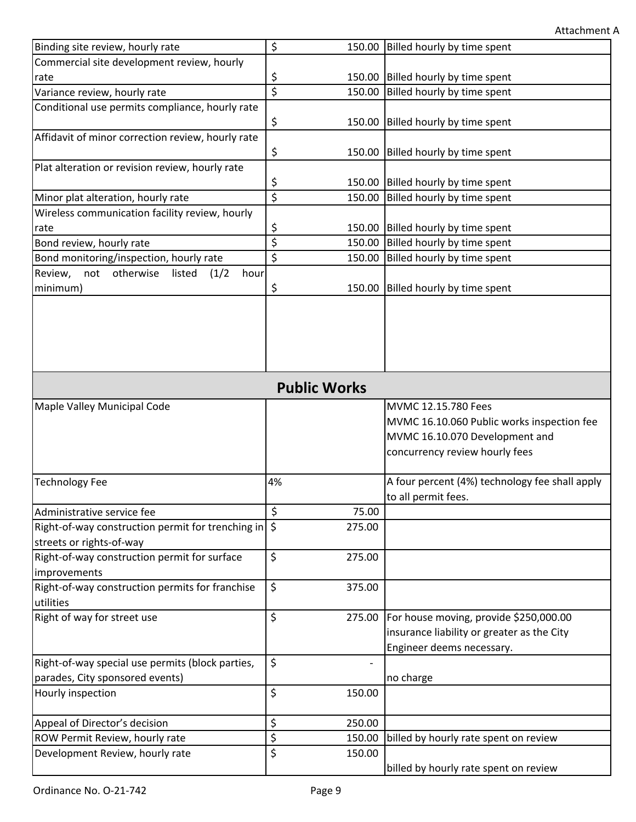| Binding site review, hourly rate                    | \$                                  |                     | 150.00 Billed hourly by time spent             |
|-----------------------------------------------------|-------------------------------------|---------------------|------------------------------------------------|
| Commercial site development review, hourly          |                                     |                     |                                                |
| rate                                                | \$                                  |                     | 150.00 Billed hourly by time spent             |
| Variance review, hourly rate                        | $\overline{\boldsymbol{\varsigma}}$ | 150.00              | Billed hourly by time spent                    |
| Conditional use permits compliance, hourly rate     |                                     |                     |                                                |
|                                                     | \$                                  |                     | 150.00 Billed hourly by time spent             |
| Affidavit of minor correction review, hourly rate   |                                     |                     |                                                |
|                                                     | \$                                  |                     | 150.00 Billed hourly by time spent             |
| Plat alteration or revision review, hourly rate     |                                     |                     |                                                |
|                                                     | \$                                  |                     | 150.00 Billed hourly by time spent             |
| Minor plat alteration, hourly rate                  | \$                                  | 150.00              | Billed hourly by time spent                    |
| Wireless communication facility review, hourly      |                                     |                     |                                                |
| rate                                                | \$                                  |                     | 150.00 Billed hourly by time spent             |
| Bond review, hourly rate                            | \$                                  | 150.00              | Billed hourly by time spent                    |
| Bond monitoring/inspection, hourly rate             | $\overline{\xi}$                    | 150.00              | Billed hourly by time spent                    |
| Review,<br>not otherwise<br>listed<br>(1/2)<br>hour |                                     |                     |                                                |
| minimum)                                            | \$                                  |                     | 150.00 Billed hourly by time spent             |
|                                                     |                                     |                     |                                                |
|                                                     |                                     |                     |                                                |
|                                                     |                                     |                     |                                                |
|                                                     |                                     |                     |                                                |
|                                                     |                                     |                     |                                                |
|                                                     |                                     |                     |                                                |
|                                                     |                                     | <b>Public Works</b> |                                                |
| Maple Valley Municipal Code                         |                                     |                     | MVMC 12.15.780 Fees                            |
|                                                     |                                     |                     | MVMC 16.10.060 Public works inspection fee     |
|                                                     |                                     |                     | MVMC 16.10.070 Development and                 |
|                                                     |                                     |                     | concurrency review hourly fees                 |
|                                                     |                                     |                     |                                                |
|                                                     |                                     |                     |                                                |
| <b>Technology Fee</b>                               | 4%                                  |                     | A four percent (4%) technology fee shall apply |
|                                                     |                                     |                     | to all permit fees.                            |
| Administrative service fee                          | \$                                  | 75.00               |                                                |
| Right-of-way construction permit for trenching in   | $\zeta$                             | 275.00              |                                                |
| streets or rights-of-way                            |                                     |                     |                                                |
| Right-of-way construction permit for surface        | \$                                  | 275.00              |                                                |
| improvements                                        |                                     |                     |                                                |
| Right-of-way construction permits for franchise     | \$                                  | 375.00              |                                                |
| utilities                                           |                                     |                     |                                                |
| Right of way for street use                         | \$                                  | 275.00              | For house moving, provide \$250,000.00         |
|                                                     |                                     |                     | insurance liability or greater as the City     |
|                                                     |                                     |                     | Engineer deems necessary.                      |
| Right-of-way special use permits (block parties,    | \$                                  |                     |                                                |
| parades, City sponsored events)                     |                                     |                     | no charge                                      |
| Hourly inspection                                   | \$                                  | 150.00              |                                                |
|                                                     |                                     |                     |                                                |
| Appeal of Director's decision                       | \$                                  | 250.00              |                                                |
| ROW Permit Review, hourly rate                      | \$                                  | 150.00              | billed by hourly rate spent on review          |
| Development Review, hourly rate                     | \$                                  | 150.00              |                                                |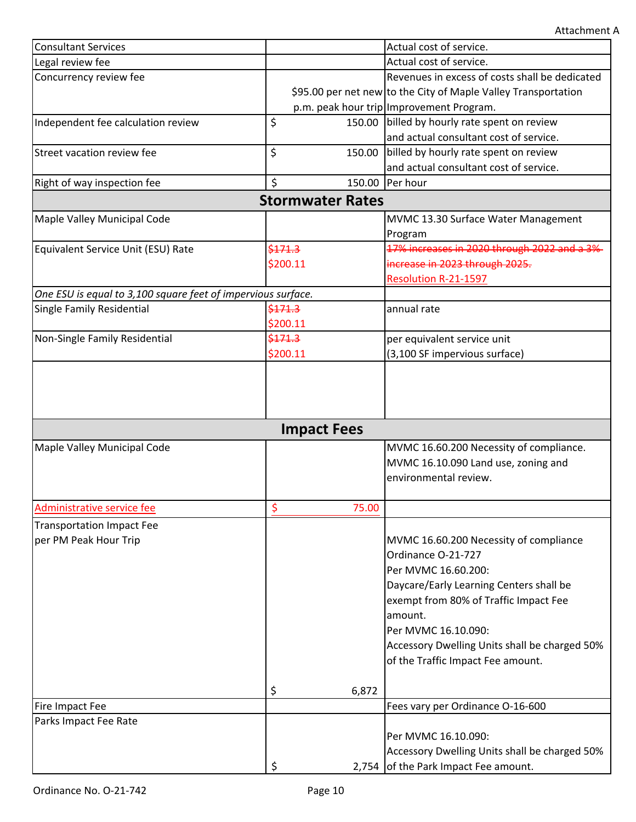| <b>Consultant Services</b>                                   |                         |        | Actual cost of service.                                        |
|--------------------------------------------------------------|-------------------------|--------|----------------------------------------------------------------|
| Legal review fee                                             |                         |        | Actual cost of service.                                        |
| Concurrency review fee                                       |                         |        | Revenues in excess of costs shall be dedicated                 |
|                                                              |                         |        | \$95.00 per net new to the City of Maple Valley Transportation |
|                                                              |                         |        | p.m. peak hour trip Improvement Program.                       |
| Independent fee calculation review                           | \$                      | 150.00 | billed by hourly rate spent on review                          |
|                                                              |                         |        | and actual consultant cost of service.                         |
| Street vacation review fee                                   | \$                      | 150.00 | billed by hourly rate spent on review                          |
|                                                              |                         |        | and actual consultant cost of service.                         |
| Right of way inspection fee                                  | \$                      |        | 150.00 Per hour                                                |
|                                                              | <b>Stormwater Rates</b> |        |                                                                |
|                                                              |                         |        |                                                                |
| Maple Valley Municipal Code                                  |                         |        | MVMC 13.30 Surface Water Management                            |
|                                                              |                         |        | Program                                                        |
| Equivalent Service Unit (ESU) Rate                           | \$171.3                 |        | 17% increases in 2020 through 2022 and a 3%                    |
|                                                              | \$200.11                |        | increase in 2023 through 2025.                                 |
|                                                              |                         |        | Resolution R-21-1597                                           |
| One ESU is equal to 3,100 square feet of impervious surface. |                         |        |                                                                |
| <b>Single Family Residential</b>                             | \$171.3                 |        | annual rate                                                    |
|                                                              | \$200.11                |        |                                                                |
| Non-Single Family Residential                                | \$171.3                 |        | per equivalent service unit                                    |
|                                                              | \$200.11                |        | (3,100 SF impervious surface)                                  |
|                                                              |                         |        |                                                                |
|                                                              |                         |        |                                                                |
|                                                              |                         |        |                                                                |
|                                                              |                         |        |                                                                |
|                                                              | <b>Impact Fees</b>      |        |                                                                |
| Maple Valley Municipal Code                                  |                         |        | MVMC 16.60.200 Necessity of compliance.                        |
|                                                              |                         |        | MVMC 16.10.090 Land use, zoning and                            |
|                                                              |                         |        | environmental review.                                          |
|                                                              |                         |        |                                                                |
| <u>Administrative service fee</u>                            |                         | 75.00  |                                                                |
| <b>Transportation Impact Fee</b>                             |                         |        |                                                                |
| per PM Peak Hour Trip                                        |                         |        | MVMC 16.60.200 Necessity of compliance                         |
|                                                              |                         |        | Ordinance O-21-727                                             |
|                                                              |                         |        | Per MVMC 16.60.200:                                            |
|                                                              |                         |        |                                                                |
|                                                              |                         |        | Daycare/Early Learning Centers shall be                        |
|                                                              |                         |        | exempt from 80% of Traffic Impact Fee                          |
|                                                              |                         |        | amount.                                                        |
|                                                              |                         |        | Per MVMC 16.10.090:                                            |
|                                                              |                         |        | Accessory Dwelling Units shall be charged 50%                  |
|                                                              |                         |        | of the Traffic Impact Fee amount.                              |
|                                                              |                         |        |                                                                |
|                                                              | \$                      | 6,872  |                                                                |
| Fire Impact Fee                                              |                         |        | Fees vary per Ordinance O-16-600                               |
| Parks Impact Fee Rate                                        |                         |        |                                                                |
|                                                              |                         |        | Per MVMC 16.10.090:                                            |
|                                                              |                         |        | Accessory Dwelling Units shall be charged 50%                  |
|                                                              |                         |        | 2,754 of the Park Impact Fee amount.                           |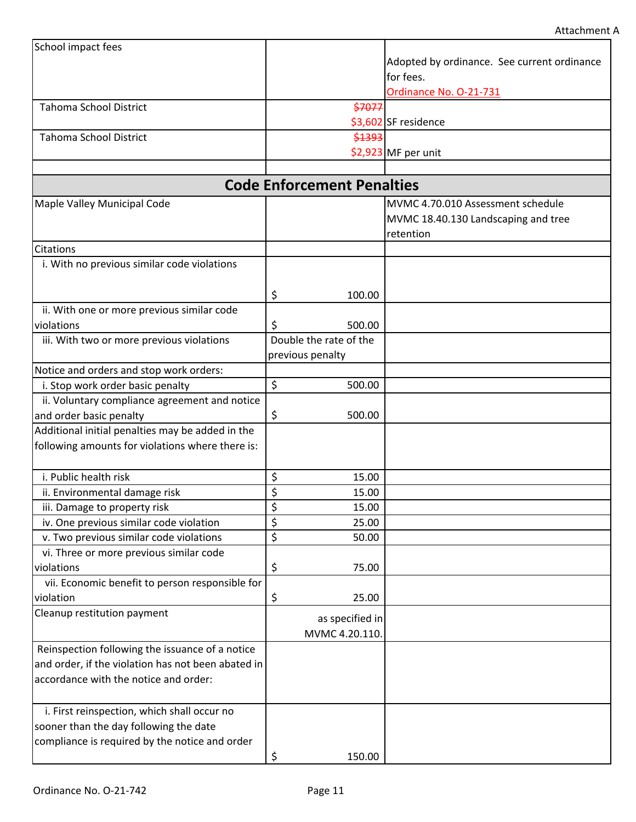| School impact fees                                 |                                   |                                             |
|----------------------------------------------------|-----------------------------------|---------------------------------------------|
|                                                    |                                   | Adopted by ordinance. See current ordinance |
|                                                    |                                   | for fees.                                   |
|                                                    |                                   | Ordinance No. O-21-731                      |
| <b>Tahoma School District</b>                      | \$7077                            |                                             |
|                                                    |                                   | \$3,602 SF residence                        |
| <b>Tahoma School District</b>                      | \$1393                            |                                             |
|                                                    |                                   | \$2,923 MF per unit                         |
|                                                    |                                   |                                             |
|                                                    | <b>Code Enforcement Penalties</b> |                                             |
| Maple Valley Municipal Code                        |                                   | MVMC 4.70.010 Assessment schedule           |
|                                                    |                                   | MVMC 18.40.130 Landscaping and tree         |
|                                                    |                                   | retention                                   |
| Citations                                          |                                   |                                             |
| i. With no previous similar code violations        |                                   |                                             |
|                                                    |                                   |                                             |
|                                                    | \$<br>100.00                      |                                             |
| ii. With one or more previous similar code         |                                   |                                             |
| violations                                         | \$<br>500.00                      |                                             |
| iii. With two or more previous violations          | Double the rate of the            |                                             |
|                                                    | previous penalty                  |                                             |
| Notice and orders and stop work orders:            |                                   |                                             |
| i. Stop work order basic penalty                   | \$<br>500.00                      |                                             |
| ii. Voluntary compliance agreement and notice      |                                   |                                             |
| and order basic penalty                            | \$<br>500.00                      |                                             |
| Additional initial penalties may be added in the   |                                   |                                             |
| following amounts for violations where there is:   |                                   |                                             |
| i. Public health risk                              | \$<br>15.00                       |                                             |
| ii. Environmental damage risk                      | \$<br>15.00                       |                                             |
| iii. Damage to property risk                       | 15.00<br>→                        |                                             |
| iv. One previous similar code violation            | \$<br>25.00                       |                                             |
| v. Two previous similar code violations            | \$<br>50.00                       |                                             |
| vi. Three or more previous similar code            |                                   |                                             |
| violations                                         | \$<br>75.00                       |                                             |
| vii. Economic benefit to person responsible for    |                                   |                                             |
| violation                                          | \$<br>25.00                       |                                             |
| Cleanup restitution payment                        | as specified in                   |                                             |
|                                                    | MVMC 4.20.110.                    |                                             |
| Reinspection following the issuance of a notice    |                                   |                                             |
| and order, if the violation has not been abated in |                                   |                                             |
| accordance with the notice and order:              |                                   |                                             |
|                                                    |                                   |                                             |
| i. First reinspection, which shall occur no        |                                   |                                             |
| sooner than the day following the date             |                                   |                                             |
| compliance is required by the notice and order     |                                   |                                             |
|                                                    | \$<br>150.00                      |                                             |